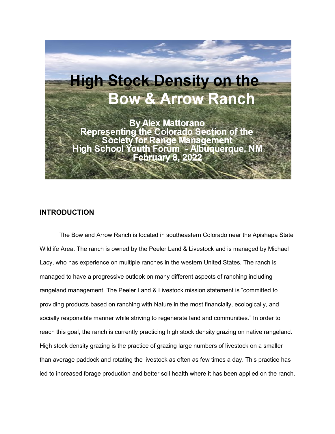

# **INTRODUCTION**

The Bow and Arrow Ranch is located in southeastern Colorado near the Apishapa State Wildlife Area. The ranch is owned by the Peeler Land & Livestock and is managed by Michael Lacy, who has experience on multiple ranches in the western United States. The ranch is managed to have a progressive outlook on many different aspects of ranching including rangeland management. The Peeler Land & Livestock mission statement is "committed to providing products based on ranching with Nature in the most financially, ecologically, and socially responsible manner while striving to regenerate land and communities." In order to reach this goal, the ranch is currently practicing high stock density grazing on native rangeland. High stock density grazing is the practice of grazing large numbers of livestock on a smaller than average paddock and rotating the livestock as often as few times a day. This practice has led to increased forage production and better soil health where it has been applied on the ranch.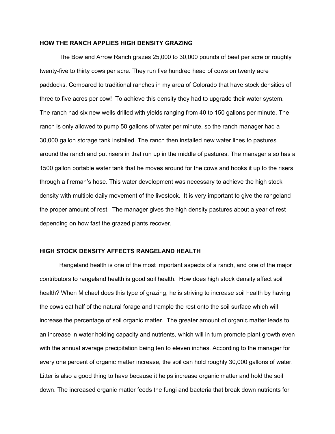### **HOW THE RANCH APPLIES HIGH DENSITY GRAZING**

The Bow and Arrow Ranch grazes 25,000 to 30,000 pounds of beef per acre or roughly twenty-five to thirty cows per acre. They run five hundred head of cows on twenty acre paddocks. Compared to traditional ranches in my area of Colorado that have stock densities of three to five acres per cow! To achieve this density they had to upgrade their water system. The ranch had six new wells drilled with yields ranging from 40 to 150 gallons per minute. The ranch is only allowed to pump 50 gallons of water per minute, so the ranch manager had a 30,000 gallon storage tank installed. The ranch then installed new water lines to pastures around the ranch and put risers in that run up in the middle of pastures. The manager also has a 1500 gallon portable water tank that he moves around for the cows and hooks it up to the risers through a fireman's hose. This water development was necessary to achieve the high stock density with multiple daily movement of the livestock. It is very important to give the rangeland the proper amount of rest. The manager gives the high density pastures about a year of rest depending on how fast the grazed plants recover.

# **HIGH STOCK DENSITY AFFECTS RANGELAND HEALTH**

Rangeland health is one of the most important aspects of a ranch, and one of the major contributors to rangeland health is good soil health. How does high stock density affect soil health? When Michael does this type of grazing, he is striving to increase soil health by having the cows eat half of the natural forage and trample the rest onto the soil surface which will increase the percentage of soil organic matter. The greater amount of organic matter leads to an increase in water holding capacity and nutrients, which will in turn promote plant growth even with the annual average precipitation being ten to eleven inches. According to the manager for every one percent of organic matter increase, the soil can hold roughly 30,000 gallons of water. Litter is also a good thing to have because it helps increase organic matter and hold the soil down. The increased organic matter feeds the fungi and bacteria that break down nutrients for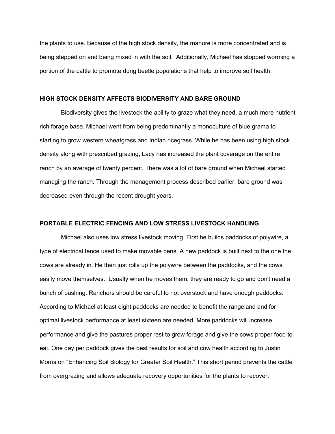the plants to use. Because of the high stock density, the manure is more concentrated and is being stepped on and being mixed in with the soil. Additionally, Michael has stopped worming a portion of the cattle to promote dung beetle populations that help to improve soil health.

#### **HIGH STOCK DENSITY AFFECTS BIODIVERSITY AND BARE GROUND**

Biodiversity gives the livestock the ability to graze what they need, a much more nutrient rich forage base. Michael went from being predominantly a monoculture of blue grama to starting to grow western wheatgrass and Indian ricegrass. While he has been using high stock density along with prescribed grazing, Lacy has increased the plant coverage on the entire ranch by an average of twenty percent. There was a lot of bare ground when Michael started managing the ranch. Through the management process described earlier, bare ground was decreased even through the recent drought years.

# **PORTABLE ELECTRIC FENCING AND LOW STRESS LIVESTOCK HANDLING**

Michael also uses low stress livestock moving. First he builds paddocks of polywire, a type of electrical fence used to make movable pens. A new paddock is built next to the one the cows are already in. He then just rolls up the polywire between the paddocks, and the cows easily move themselves. Usually when he moves them, they are ready to go and don't need a bunch of pushing. Ranchers should be careful to not overstock and have enough paddocks. According to Michael at least eight paddocks are needed to benefit the rangeland and for optimal livestock performance at least sixteen are needed. More paddocks will increase performance and give the pastures proper rest to grow forage and give the cows proper food to eat. One day per paddock gives the best results for soil and cow health according to Justin Morris on "Enhancing Soil Biology for Greater Soil Health." This short period prevents the cattle from overgrazing and allows adequate recovery opportunities for the plants to recover.